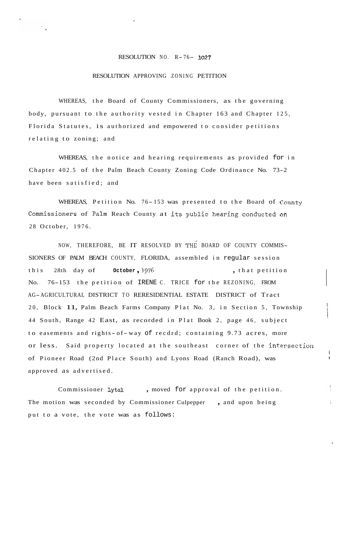## RESOLUTION NO. R- 76- **<sup>1027</sup>**

## RESOLUTION APPROVING ZONING PETITION

WHEREAS, the Board of County Commissioners, as the governing body, pursuant to the authority vested in Chapter 163 and Chapter 125, Florida Statutes, is authorized and empowered to consider petitions relating to zoning; and

WHEREAS, the notice and hearing requirements as provided for in Chapter 402.5 of the Palm Beach County Zoning Code Ordinance No. 73-2 have been satisfied; and

WHEREAS, Petition No. 76-153 was presented to the Board of County Commissioners of Palm Reach County at its public heaping conducted on 28 October, 1976.

NOW, THEREFORE, BE IT RESOLVED BY THE BOARD OF COUNTY COMMIS-SIONERS OF PALM BEACH COUNTY, FLORIDA, assembled in regular session this 28th day of **October**, 1976 , that petition No. 76-153 the petition of IRENE C. TRICE for the REZONING, FROM AG-AGRICULTURAL DISTRICT TO RERESIDENTIAL ESTATE DISTRICT of Tract 20, Block 11, Palm Beach Farms Company Plat No. 3, in Section 5, Township 44 South, Range 42 East, as recorded in Plat Book 2, page 46, subject to easements and rights-of-way of recdrd; containing 9.73 acres, more or less. Said property located at the southeast corner of the intersection of Pioneer Road (2nd Place South) and Lyons Road (Ranch Road), was approved as advertised.

i **I** 

I

Commissioner Lytal, moved for approval of the petition. The motion was seconded by Commissioner Culpepper, and upon being put to a vote, the vote was as follows: